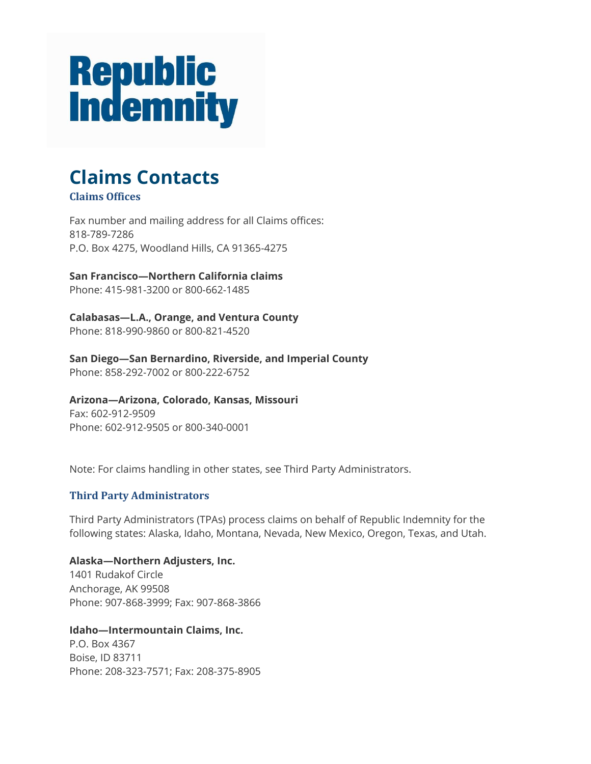# **Republic<br>Indemnity**

# **Claims Contacts Claims Offices**

Fax number and mailing address for all Claims offices: 818-789-7286 P.O. Box 4275, Woodland Hills, CA 91365-4275

**San Francisco—Northern California claims** Phone: 415-981-3200 or 800-662-1485

**Calabasas—L.A., Orange, and Ventura County** Phone: 818-990-9860 or 800-821-4520

**San Diego—San Bernardino, Riverside, and Imperial County** Phone: 858-292-7002 or 800-222-6752

**Arizona—Arizona, Colorado, Kansas, Missouri** Fax: 602-912-9509 Phone: 602-912-9505 or 800-340-0001

Note: For claims handling in other states, see Third Party Administrators.

## **Third Party Administrators**

Third Party Administrators (TPAs) process claims on behalf of Republic Indemnity for the following states: Alaska, Idaho, Montana, Nevada, New Mexico, Oregon, Texas, and Utah.

**Alaska—Northern Adjusters, Inc.** 1401 Rudakof Circle Anchorage, AK 99508 Phone: 907-868-3999; Fax: 907-868-3866

**Idaho—Intermountain Claims, Inc.** P.O. Box 4367 Boise, ID 83711 Phone: 208-323-7571; Fax: 208-375-8905